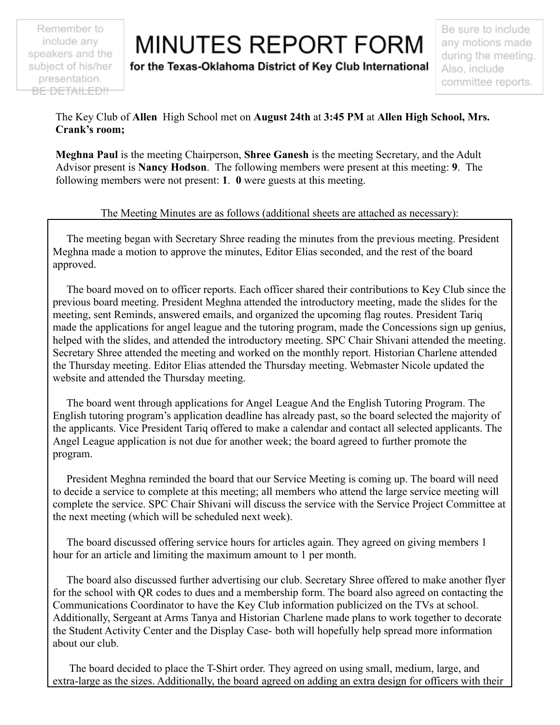Remember to include any speakers and the subject of his/her presentation. BE DETAILED!!

## **MINUTES REPORT FORM**

for the Texas-Oklahoma District of Key Club International

Be sure to include any motions made during the meeting. Also, include committee reports.

The Key Club of **Allen** High School met on **August 24th** at **3:45 PM** at **Allen High School, Mrs. Crank's room;**

**Meghna Paul** is the meeting Chairperson, **Shree Ganesh** is the meeting Secretary, and the Adult Advisor present is **Nancy Hodson**. The following members were present at this meeting: **9**. The following members were not present: **1**. **0** were guests at this meeting.

## The Meeting Minutes are as follows (additional sheets are attached as necessary):

The meeting began with Secretary Shree reading the minutes from the previous meeting. President Meghna made a motion to approve the minutes, Editor Elias seconded, and the rest of the board approved.

The board moved on to officer reports. Each officer shared their contributions to Key Club since the previous board meeting. President Meghna attended the introductory meeting, made the slides for the meeting, sent Reminds, answered emails, and organized the upcoming flag routes. President Tariq made the applications for angel league and the tutoring program, made the Concessions sign up genius, helped with the slides, and attended the introductory meeting. SPC Chair Shivani attended the meeting. Secretary Shree attended the meeting and worked on the monthly report. Historian Charlene attended the Thursday meeting. Editor Elias attended the Thursday meeting. Webmaster Nicole updated the website and attended the Thursday meeting.

The board went through applications for Angel League And the English Tutoring Program. The English tutoring program's application deadline has already past, so the board selected the majority of the applicants. Vice President Tariq offered to make a calendar and contact all selected applicants. The Angel League application is not due for another week; the board agreed to further promote the program.

President Meghna reminded the board that our Service Meeting is coming up. The board will need to decide a service to complete at this meeting; all members who attend the large service meeting will complete the service. SPC Chair Shivani will discuss the service with the Service Project Committee at the next meeting (which will be scheduled next week).

The board discussed offering service hours for articles again. They agreed on giving members 1 hour for an article and limiting the maximum amount to 1 per month.

The board also discussed further advertising our club. Secretary Shree offered to make another flyer for the school with QR codes to dues and a membership form. The board also agreed on contacting the Communications Coordinator to have the Key Club information publicized on the TVs at school. Additionally, Sergeant at Arms Tanya and Historian Charlene made plans to work together to decorate the Student Activity Center and the Display Case- both will hopefully help spread more information about our club.

The board decided to place the T-Shirt order. They agreed on using small, medium, large, and extra-large as the sizes. Additionally, the board agreed on adding an extra design for officers with their